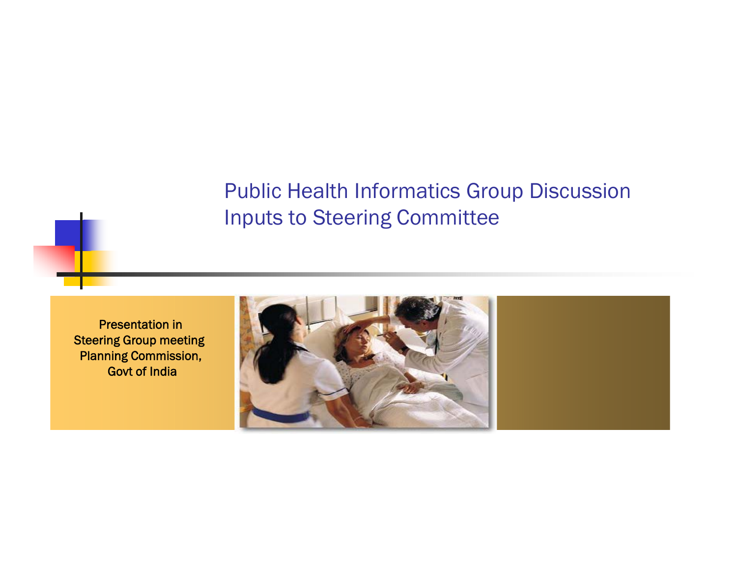#### Public Health Informatics Group Discussion Inputs to Steering Committee

Presentation in Steering Group meeting Planning Commission, Govt of India

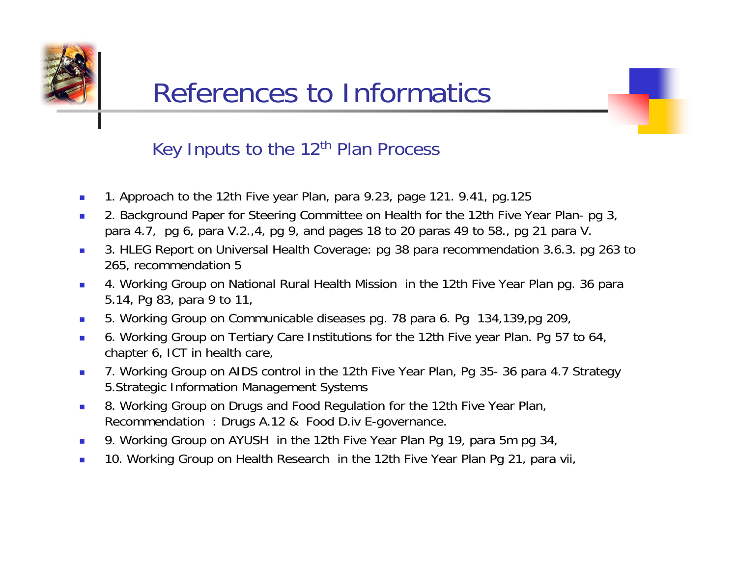

#### References to Informatics

#### Key Inputs to the 12<sup>th</sup> Plan Process

- ۳ 1. Approach to the 12th Five year Plan, para 9.23, page 121. 9.41, pg.125
- $\mathcal{L}_{\mathcal{A}}$  2. Background Paper for Steering Committee on Health for the 12th Five Year Plan- pg 3, para 4.7, pg 6, para V.2.,4, pg 9, and pages 18 to 20 paras 49 to 58., pg 21 para V.
- 3. HLEG Report on Universal Health Coverage: pg 38 para recommendation 3.6.3. pg 263 tc 265, recommendation 5
- $\mathcal{L}_{\mathcal{A}}$  4. Working Group on National Rural Health Mission in the 12th Five Year Plan pg. 36 para 5.14, Pg 83, para 9 to 11,
- $\mathcal{L}_{\mathcal{A}}$ 5. Working Group on Communicable diseases pg. 78 para 6. Pg 134,139,pg 209,
- $\mathcal{L}_{\mathcal{A}}$  6. Working Group on Tertiary Care Institutions for the 12th Five year Plan. Pg 57 to 64, chapter 6, ICT in health care,
- $\mathcal{L}_{\rm{max}}$  7. Working Group on AIDS control in the 12th Five Year Plan, Pg 35- 36 para 4.7 Strategy 5.Strategic Information Management Systems
- $\sim 1$  8. Working Group on Drugs and Food Regulation for the 12th Five Year Plan, Recommendation : Drugs A.12 & Food D.iv E-governance.
- $\mathcal{L}_{\mathcal{A}}$ 9. Working Group on AYUSH in the 12th Five Year Plan Pg 19, para 5m pg 34,
- $\mathcal{C}^{\mathcal{A}}$ ■ 10. Working Group on Health Research in the 12th Five Year Plan Pg 21, para vii,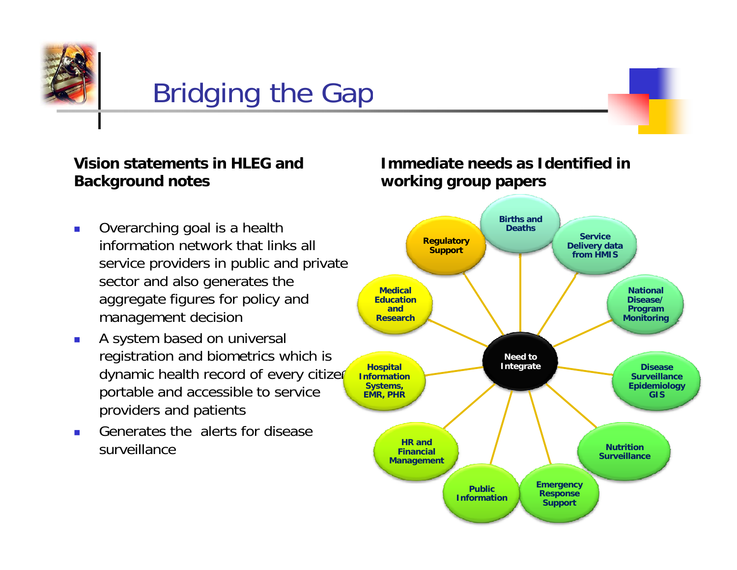

## Bridging the Gap

#### **Vision statements in HLEG and Bk d t Background notes**

- $\overline{\phantom{a}}$  Overarching goal is a health service providers in public and private sector and also generates the aggregate figures for policy and management decision
- $\overline{\phantom{a}}$  A system based on universal registration and biometrics which is dynamic health record of every citizer portable and accessible to service providers and patients
- $\blacksquare$  Generates the alerts for disease surveillance

#### **Immediate needs as Identified in ki working group papers**

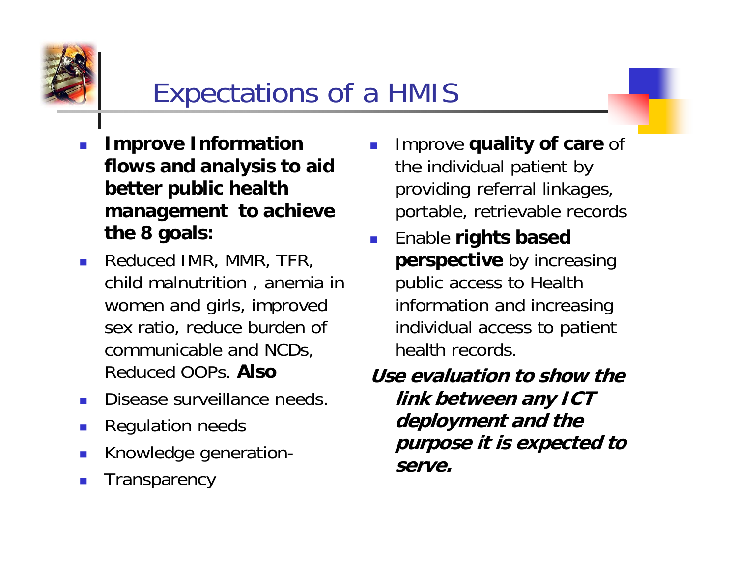

### Expectations of a HMIS

- F. **Improve Information flows and analysis to aid better public health management to achieve the 8 goals:**
- **Reduced IMR, MMR, TFR,** child malnutrition , anemia in women and girls, improved communicable and NCDs, Reduced OOPs. **Also**
- Disease surveillance needs. **link between any ICT**
- **In** Regulation needs
- $\mathcal{C}^{\mathcal{A}}$ Knowledge generation-
- F. **Transparency**
- F. Improve **quality of care** of the individual patient by providing referral linkages, portable, retrievable records
- F. Enable **rights based**  sex ratio, reduce burden of individual access to patient **perspective** by increasing public access to Health information and increasing individual access to patient<br>health records.

**Use evaluation to show the** deployment and the<br>purpose it is expected to **serve.**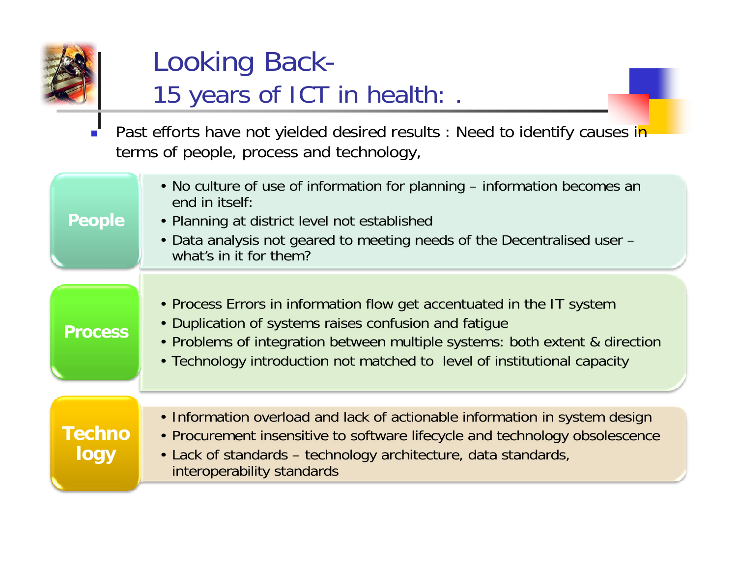

### Looking Back-15 years of ICT in health: .

 $\frac{1}{\Box}$ Past efforts have not yielded desired results : Need to identify causes in terms of people, process and technology,

| <b>People</b>         | • No culture of use of information for planning – information becomes an<br>end in itself:<br>• Planning at district level not established<br>• Data analysis not geared to meeting needs of the Decentralised user –<br>what's in it for them?                                           |
|-----------------------|-------------------------------------------------------------------------------------------------------------------------------------------------------------------------------------------------------------------------------------------------------------------------------------------|
| <b>Process</b>        | • Process Errors in information flow get accentuated in the IT system<br>• Duplication of systems raises confusion and fatique<br>• Problems of integration between multiple systems: both extent & direction<br>• Technology introduction not matched to level of institutional capacity |
| <b>Techno</b><br>logy | • Information overload and lack of actionable information in system design<br>• Procurement insensitive to software lifecycle and technology obsolescence<br>• Lack of standards – technology architecture, data standards,<br>interoperability standards                                 |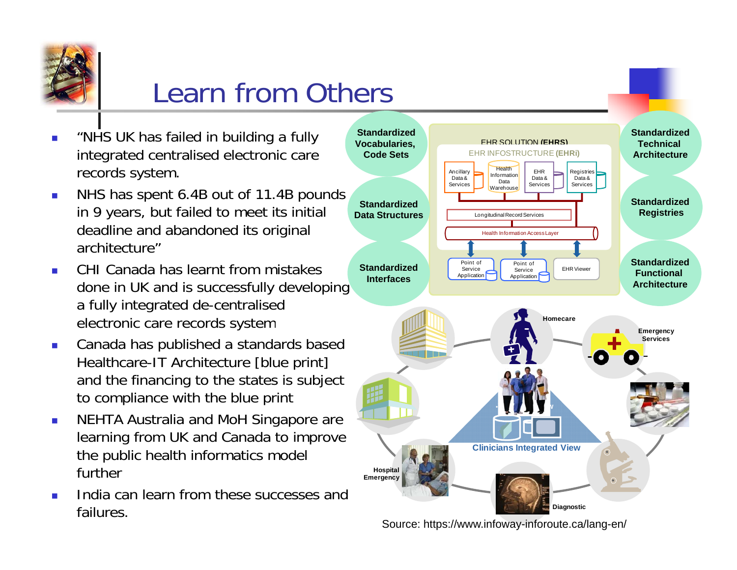

### Learn from Others

- П "NHS UK has failed in building a fully integrated centralised electronic care records system.
- $\overline{\phantom{a}}$  NHS has spent 6.4B out of 11.4B pounds in 9 years, but failed to meet its initial deadline and abandoned its original architecture'
- $\overline{\phantom{a}}$  CHI Canada has learnt from mistakes done in UK and is successfully developing a fully integrated de-centralised electronic care records system **Homecare**
- $\mathbf{r}$  Canada has published a standards based Healthcare-IT Architecture [blue print] and the financing to the states is subject to compliance with the blue print
- $\mathcal{L}_{\mathcal{A}}$  NEHTA Australia and MoH Singapore are learning from UK and Canada to improve the public health informatics model further
- ÷. India can learn from these successes and failures.



**2006**  *Dreamble 11* **<b>***Dreamble 11 Dreamble 12 Dreamble 12 Dreamble 12 Dreamble 12***</del> <b>***Dre* Source: https://www.infoway-inforoute.ca/lang-en/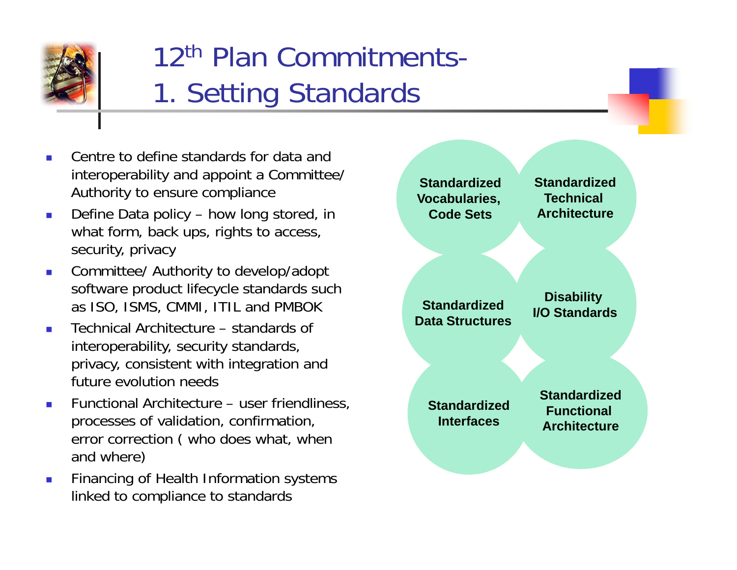

## 12th Plan Commitments-1. Setting Standards

- Centre to define standards for data and interoperability and appoint <sup>a</sup> Committee/ Authority to ensure compliance
- Define Data policy how long stored, in what form, back ups, rights to access, security, privacy
- $\mathcal{L}_{\mathcal{A}}$  Committee/ Authority to develop/adopt software product lifecycle standards such as ISO, ISMS, CMMI, ITIL and PMBOK **Standardized**
- Technical Architecture standards of interoperability, security standards, privacy, consistent with integration and future evolution needs
- П Functional Architecture – user friendliness, processes of validation, confirmation, error correction ( who does what, when and where)
- Financing of Health Information systems linked to compliance to standards

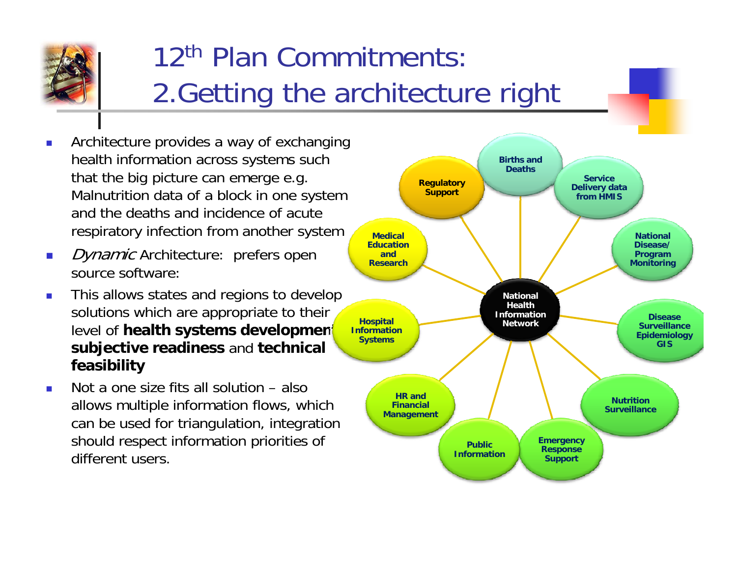

## 12th Plan Commitments:2. Getting the architecture right

- Architecture provides a way of exchanging health information across systems such that the big picture can emerge e.g. **Secondal Accord Pregulatory Accord Provision** Service Malnutrition data of a block in one system and the deaths and incidence of acute respiratory infection from another system
- *Dynamic* Architecture: prefers open  $\overline{\phantom{a}}$ source software:
- This allows states and regions to develop solutions which are appropriate to their level of **health systems development subjective readiness** and **technical feasibility**
- **COL**  Not a one size fits all solution – also . . . . . . . . . . allows multiple information flows, which can be used for triangulation, integration should respect information priorities of different users.

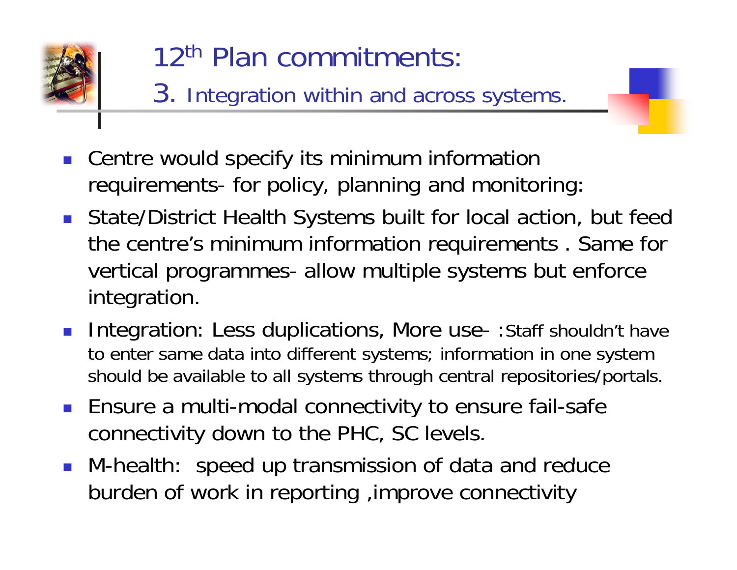

# 12th Plan commitments:

- 3. Integration within and across systems.
- $\mathcal{L}_{\text{max}}$  Centre would specify its minimum information requirements- for policy, planning and monitoring:
- State/District Health Systems built for local action, but feed the centre's minimum information requirements . Same for vertical programmes- allow multiple systems but enforce integration.
- **Integration: Less duplications, More use-: Staff shouldn't have** to enter same data into different systems; information in one system should be available to all systems through central repositories/portals.
- **Ensure a multi-modal connectivity to ensure fail-safe** connectivity down to the PHC, SC levels.
- M-health: speed up transmission of data and reduce burden of work in reporting ,improve connectivity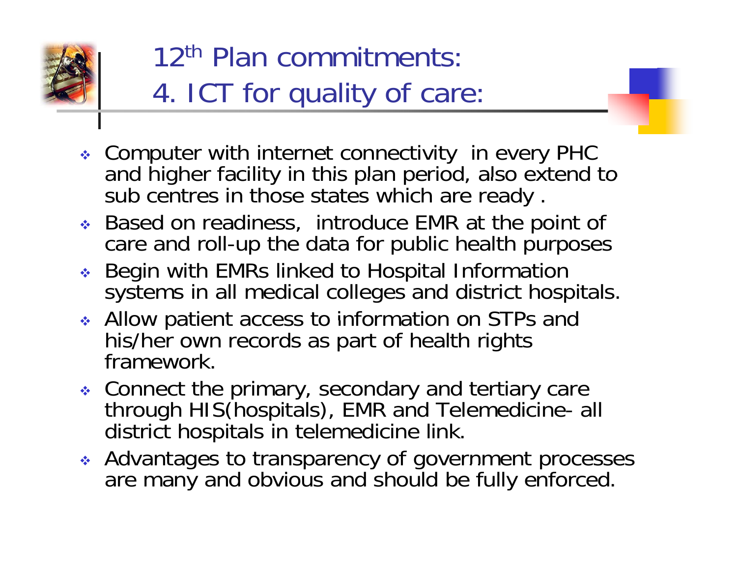

## 12th Plan commitments:4. ICT for quality of care:

- Computer with internet connectivity in every PHC and higher facility in this plan period, also extend to sub centres in those states which are ready.
- Based on readiness, introduce EMR at the point of care and roll-up the data for public health purposes
- ◆ Begin with EMRs linked to Hospital Information systems in all medical colleges and district hospitals.
- Allow patient access to information on STPs and patient access his/her own records as part of health rights framework.
- Connect the primary, secondary and tertiary care **Example Secondary and tertiary care**   $\bullet$  Connect the primary, secondary and tertiary care<br>
through HIS(hospitals), EMR and Telemedicine- all district hospitals in telemedicine link.
- Advantages to transparency of government processes are many and obvious and should be fully enforced.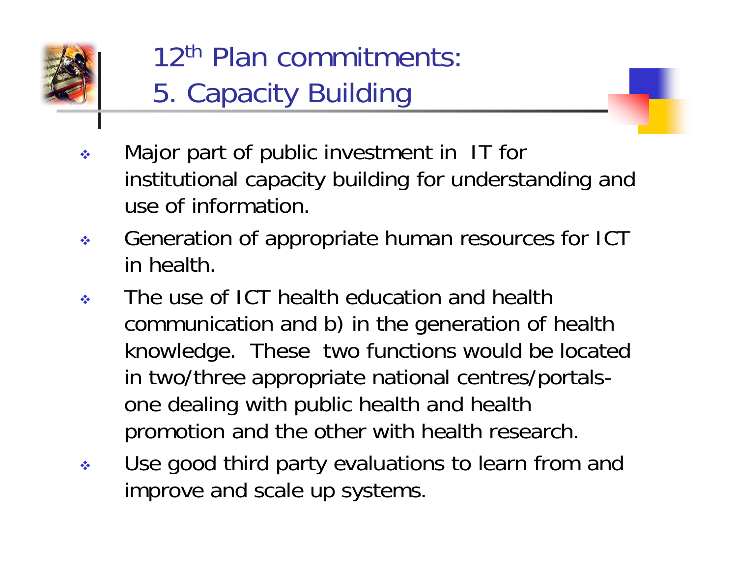

12th Plan commitments:5. Capacity Building

- $\sigma_{\rm eff}^{\rm R}$  Major part of public investment in IT for institutional capacity building for understanding and use of information.
- $\frac{\partial^2 \phi}{\partial x^2}$ Generation of appropriate human resources for ICT in health.
- $\frac{\partial}{\partial x^i}$  The use of ICT health education and health communication and b) in the generation of health knowledge. These two functions would be located in two/three appropriate national centres/portalsone dealing with public health and health promotion and the other with health research.
- $\frac{\partial \mathbf{e}}{\partial \mathbf{r}^2}$ • Use good third party evaluations to learn from and improve and scale up systems.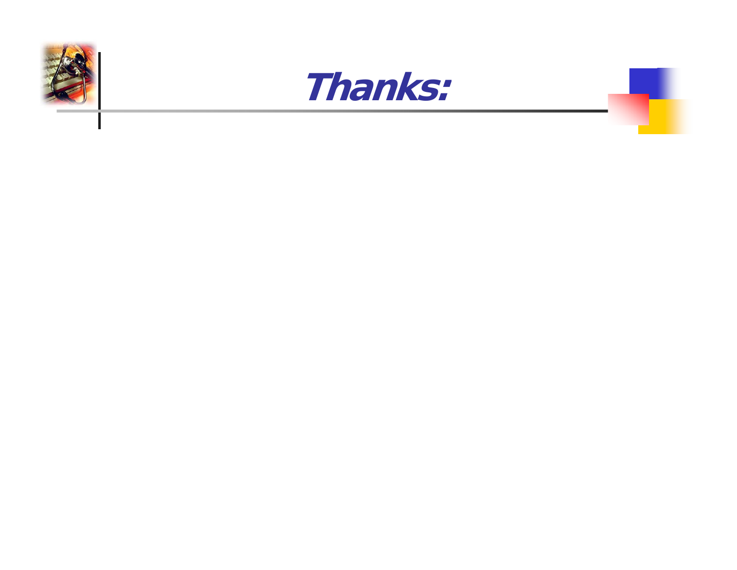